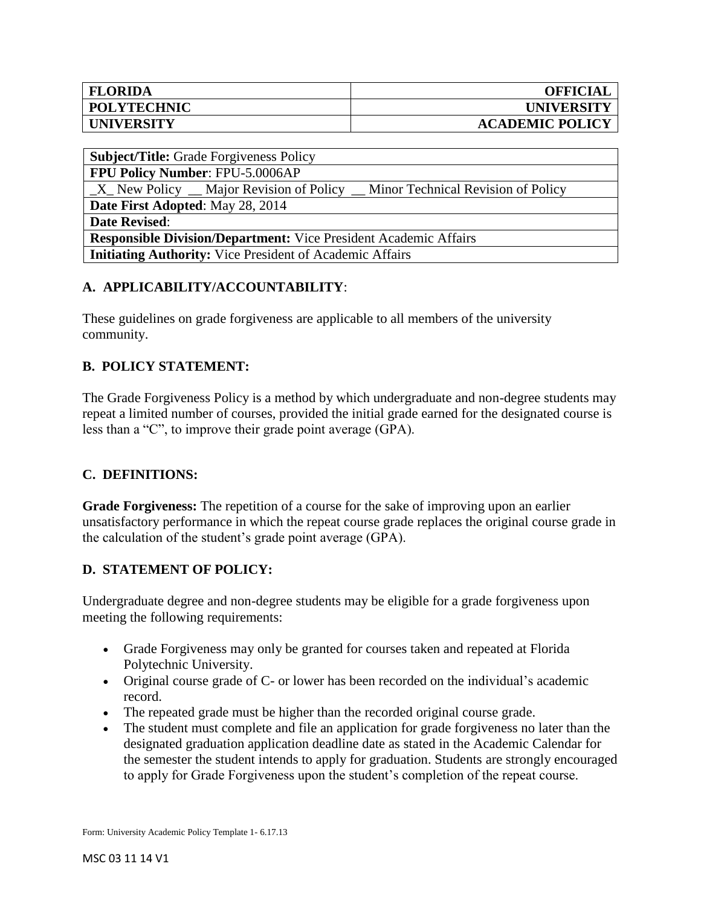| <b>FLORIDA</b>     | <b>OFFICIAL</b>        |
|--------------------|------------------------|
| <b>POLYTECHNIC</b> | <b>UNIVERSITY</b>      |
| <b>UNIVERSITY</b>  | <b>ACADEMIC POLICY</b> |

| <b>Subject/Title:</b> Grade Forgiveness Policy                                         |  |  |
|----------------------------------------------------------------------------------------|--|--|
| <b>FPU Policy Number: FPU-5.0006AP</b>                                                 |  |  |
| $\_X$ New Policy $\_$ Major Revision of Policy $\_$ Minor Technical Revision of Policy |  |  |
| Date First Adopted: May 28, 2014                                                       |  |  |
| <b>Date Revised:</b>                                                                   |  |  |
| <b>Responsible Division/Department:</b> Vice President Academic Affairs                |  |  |
| <b>Initiating Authority:</b> Vice President of Academic Affairs                        |  |  |

# **A. APPLICABILITY/ACCOUNTABILITY**:

These guidelines on grade forgiveness are applicable to all members of the university community.

## **B. POLICY STATEMENT:**

The Grade Forgiveness Policy is a method by which undergraduate and non-degree students may repeat a limited number of courses, provided the initial grade earned for the designated course is less than a "C", to improve their grade point average (GPA).

### **C. DEFINITIONS:**

**Grade Forgiveness:** The repetition of a course for the sake of improving upon an earlier unsatisfactory performance in which the repeat course grade replaces the original course grade in the calculation of the student's grade point average (GPA).

### **D. STATEMENT OF POLICY:**

Undergraduate degree and non-degree students may be eligible for a grade forgiveness upon meeting the following requirements:

- Grade Forgiveness may only be granted for courses taken and repeated at Florida Polytechnic University.
- Original course grade of C- or lower has been recorded on the individual's academic record.
- The repeated grade must be higher than the recorded original course grade.
- The student must complete and file an application for grade forgiveness no later than the designated graduation application deadline date as stated in the Academic Calendar for the semester the student intends to apply for graduation. Students are strongly encouraged to apply for Grade Forgiveness upon the student's completion of the repeat course.